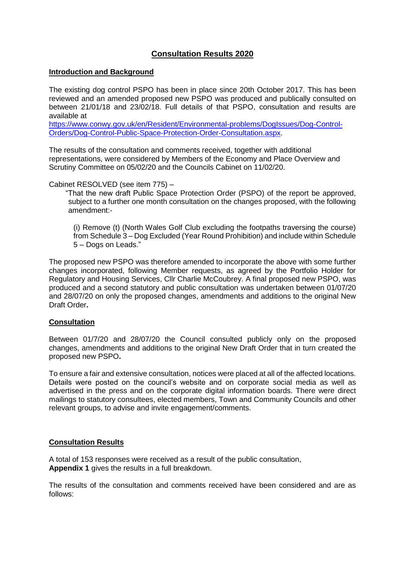# **Consultation Results 2020**

#### **Introduction and Background**

The existing dog control PSPO has been in place since 20th October 2017. This has been reviewed and an amended proposed new PSPO was produced and publically consulted on between 21/01/18 and 23/02/18. Full details of that PSPO, consultation and results are available at

[https://www.conwy.gov.uk/en/Resident/Environmental-problems/DogIssues/Dog-Control-](https://www.conwy.gov.uk/en/Resident/Environmental-problems/DogIssues/Dog-Control-Orders/Dog-Control-Public-Space-Protection-Order-Consultation.aspx)[Orders/Dog-Control-Public-Space-Protection-Order-Consultation.aspx.](https://www.conwy.gov.uk/en/Resident/Environmental-problems/DogIssues/Dog-Control-Orders/Dog-Control-Public-Space-Protection-Order-Consultation.aspx)

The results of the consultation and comments received, together with additional representations, were considered by Members of the Economy and Place Overview and Scrutiny Committee on 05/02/20 and the Councils Cabinet on 11/02/20.

Cabinet RESOLVED (see item 775) –

 "That the new draft Public Space Protection Order (PSPO) of the report be approved, subject to a further one month consultation on the changes proposed, with the following amendment:-

(i) Remove (t) (North Wales Golf Club excluding the footpaths traversing the course) from Schedule 3 – Dog Excluded (Year Round Prohibition) and include within Schedule 5 – Dogs on Leads."

The proposed new PSPO was therefore amended to incorporate the above with some further changes incorporated, following Member requests, as agreed by the Portfolio Holder for Regulatory and Housing Services, Cllr Charlie McCoubrey. A final proposed new PSPO, was produced and a second statutory and public consultation was undertaken between 01/07/20 and 28/07/20 on only the proposed changes, amendments and additions to the original New Draft Order**.**

## **Consultation**

Between 01/7/20 and 28/07/20 the Council consulted publicly only on the proposed changes, amendments and additions to the original New Draft Order that in turn created the proposed new PSPO**.**

To ensure a fair and extensive consultation, notices were placed at all of the affected locations. Details were posted on the council's website and on corporate social media as well as advertised in the press and on the corporate digital information boards. There were direct mailings to statutory consultees, elected members, Town and Community Councils and other relevant groups, to advise and invite engagement/comments.

#### **Consultation Results**

A total of 153 responses were received as a result of the public consultation, **Appendix 1** gives the results in a full breakdown.

The results of the consultation and comments received have been considered and are as follows: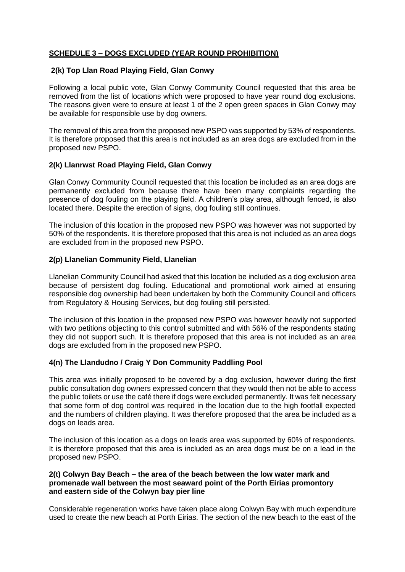# **SCHEDULE 3 – DOGS EXCLUDED (YEAR ROUND PROHIBITION)**

## **2(k) Top Llan Road Playing Field, Glan Conwy**

Following a local public vote, Glan Conwy Community Council requested that this area be removed from the list of locations which were proposed to have year round dog exclusions. The reasons given were to ensure at least 1 of the 2 open green spaces in Glan Conwy may be available for responsible use by dog owners.

The removal of this area from the proposed new PSPO was supported by 53% of respondents. It is therefore proposed that this area is not included as an area dogs are excluded from in the proposed new PSPO.

## **2(k) Llanrwst Road Playing Field, Glan Conwy**

Glan Conwy Community Council requested that this location be included as an area dogs are permanently excluded from because there have been many complaints regarding the presence of dog fouling on the playing field. A children's play area, although fenced, is also located there. Despite the erection of signs, dog fouling still continues.

The inclusion of this location in the proposed new PSPO was however was not supported by 50% of the respondents. It is therefore proposed that this area is not included as an area dogs are excluded from in the proposed new PSPO.

## **2(p) Llanelian Community Field, Llanelian**

Llanelian Community Council had asked that this location be included as a dog exclusion area because of persistent dog fouling. Educational and promotional work aimed at ensuring responsible dog ownership had been undertaken by both the Community Council and officers from Regulatory & Housing Services, but dog fouling still persisted.

The inclusion of this location in the proposed new PSPO was however heavily not supported with two petitions objecting to this control submitted and with 56% of the respondents stating they did not support such. It is therefore proposed that this area is not included as an area dogs are excluded from in the proposed new PSPO.

## **4(n) The Llandudno / Craig Y Don Community Paddling Pool**

This area was initially proposed to be covered by a dog exclusion, however during the first public consultation dog owners expressed concern that they would then not be able to access the public toilets or use the café there if dogs were excluded permanently. It was felt necessary that some form of dog control was required in the location due to the high footfall expected and the numbers of children playing. It was therefore proposed that the area be included as a dogs on leads area.

The inclusion of this location as a dogs on leads area was supported by 60% of respondents. It is therefore proposed that this area is included as an area dogs must be on a lead in the proposed new PSPO.

#### **2(t) Colwyn Bay Beach – the area of the beach between the low water mark and promenade wall between the most seaward point of the Porth Eirias promontory and eastern side of the Colwyn bay pier line**

Considerable regeneration works have taken place along Colwyn Bay with much expenditure used to create the new beach at Porth Eirias. The section of the new beach to the east of the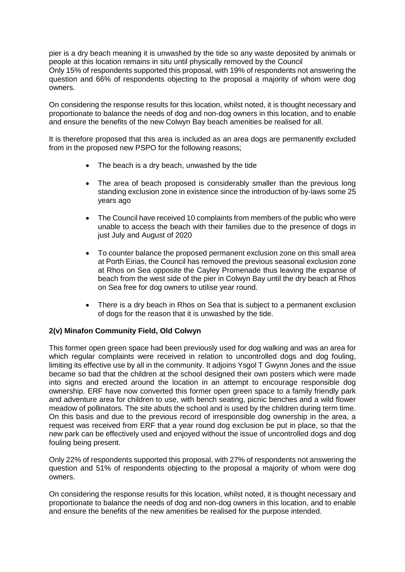pier is a dry beach meaning it is unwashed by the tide so any waste deposited by animals or people at this location remains in situ until physically removed by the Council Only 15% of respondents supported this proposal, with 19% of respondents not answering the question and 66% of respondents objecting to the proposal a majority of whom were dog owners.

On considering the response results for this location, whilst noted, it is thought necessary and proportionate to balance the needs of dog and non-dog owners in this location, and to enable and ensure the benefits of the new Colwyn Bay beach amenities be realised for all.

It is therefore proposed that this area is included as an area dogs are permanently excluded from in the proposed new PSPO for the following reasons;

- The beach is a dry beach, unwashed by the tide
- The area of beach proposed is considerably smaller than the previous long standing exclusion zone in existence since the introduction of by-laws some 25 years ago
- The Council have received 10 complaints from members of the public who were unable to access the beach with their families due to the presence of dogs in just July and August of 2020
- To counter balance the proposed permanent exclusion zone on this small area at Porth Eirias, the Council has removed the previous seasonal exclusion zone at Rhos on Sea opposite the Cayley Promenade thus leaving the expanse of beach from the west side of the pier in Colwyn Bay until the dry beach at Rhos on Sea free for dog owners to utilise year round.
- There is a dry beach in Rhos on Sea that is subject to a permanent exclusion of dogs for the reason that it is unwashed by the tide.

# **2(v) Minafon Community Field, Old Colwyn**

This former open green space had been previously used for dog walking and was an area for which regular complaints were received in relation to uncontrolled dogs and dog fouling, limiting its effective use by all in the community. It adjoins Ysgol T Gwynn Jones and the issue became so bad that the children at the school designed their own posters which were made into signs and erected around the location in an attempt to encourage responsible dog ownership. ERF have now converted this former open green space to a family friendly park and adventure area for children to use, with bench seating, picnic benches and a wild flower meadow of pollinators. The site abuts the school and is used by the children during term time. On this basis and due to the previous record of irresponsible dog ownership in the area, a request was received from ERF that a year round dog exclusion be put in place, so that the new park can be effectively used and enjoyed without the issue of uncontrolled dogs and dog fouling being present.

Only 22% of respondents supported this proposal, with 27% of respondents not answering the question and 51% of respondents objecting to the proposal a majority of whom were dog owners.

On considering the response results for this location, whilst noted, it is thought necessary and proportionate to balance the needs of dog and non-dog owners in this location, and to enable and ensure the benefits of the new amenities be realised for the purpose intended.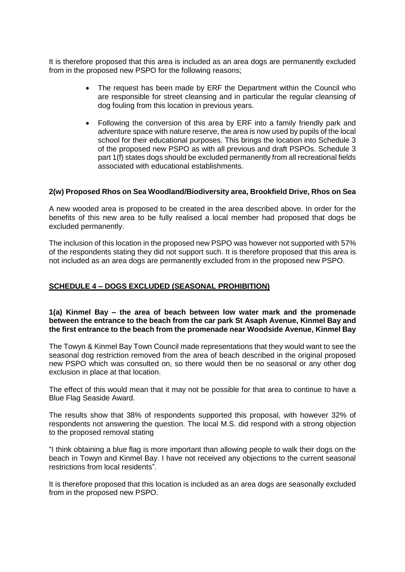It is therefore proposed that this area is included as an area dogs are permanently excluded from in the proposed new PSPO for the following reasons;

- The request has been made by ERF the Department within the Council who are responsible for street cleansing and in particular the regular cleansing of dog fouling from this location in previous years.
- Following the conversion of this area by ERF into a family friendly park and adventure space with nature reserve, the area is now used by pupils of the local school for their educational purposes. This brings the location into Schedule 3 of the proposed new PSPO as with all previous and draft PSPOs. Schedule 3 part 1(f) states dogs should be excluded permanently from all recreational fields associated with educational establishments.

## **2(w) Proposed Rhos on Sea Woodland/Biodiversity area, Brookfield Drive, Rhos on Sea**

A new wooded area is proposed to be created in the area described above. In order for the benefits of this new area to be fully realised a local member had proposed that dogs be excluded permanently.

The inclusion of this location in the proposed new PSPO was however not supported with 57% of the respondents stating they did not support such. It is therefore proposed that this area is not included as an area dogs are permanently excluded from in the proposed new PSPO.

## **SCHEDULE 4 – DOGS EXCLUDED (SEASONAL PROHIBITION)**

#### **1(a) Kinmel Bay – the area of beach between low water mark and the promenade between the entrance to the beach from the car park St Asaph Avenue, Kinmel Bay and the first entrance to the beach from the promenade near Woodside Avenue, Kinmel Bay**

The Towyn & Kinmel Bay Town Council made representations that they would want to see the seasonal dog restriction removed from the area of beach described in the original proposed new PSPO which was consulted on, so there would then be no seasonal or any other dog exclusion in place at that location.

The effect of this would mean that it may not be possible for that area to continue to have a Blue Flag Seaside Award.

The results show that 38% of respondents supported this proposal, with however 32% of respondents not answering the question. The local M.S. did respond with a strong objection to the proposed removal stating

"I think obtaining a blue flag is more important than allowing people to walk their dogs on the beach in Towyn and Kinmel Bay. I have not received any objections to the current seasonal restrictions from local residents".

It is therefore proposed that this location is included as an area dogs are seasonally excluded from in the proposed new PSPO.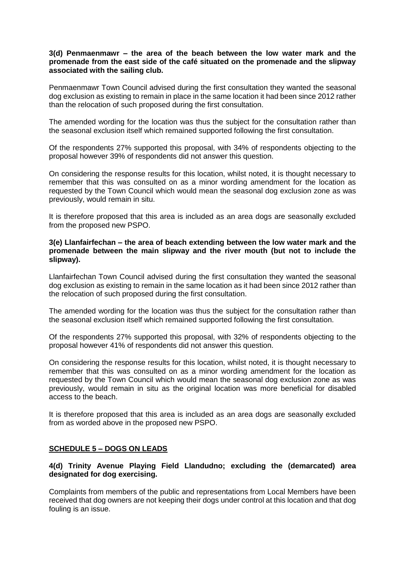#### **3(d) Penmaenmawr – the area of the beach between the low water mark and the promenade from the east side of the café situated on the promenade and the slipway associated with the sailing club.**

Penmaenmawr Town Council advised during the first consultation they wanted the seasonal dog exclusion as existing to remain in place in the same location it had been since 2012 rather than the relocation of such proposed during the first consultation.

The amended wording for the location was thus the subject for the consultation rather than the seasonal exclusion itself which remained supported following the first consultation.

Of the respondents 27% supported this proposal, with 34% of respondents objecting to the proposal however 39% of respondents did not answer this question.

On considering the response results for this location, whilst noted, it is thought necessary to remember that this was consulted on as a minor wording amendment for the location as requested by the Town Council which would mean the seasonal dog exclusion zone as was previously, would remain in situ.

It is therefore proposed that this area is included as an area dogs are seasonally excluded from the proposed new PSPO.

#### **3(e) Llanfairfechan – the area of beach extending between the low water mark and the promenade between the main slipway and the river mouth (but not to include the slipway).**

Llanfairfechan Town Council advised during the first consultation they wanted the seasonal dog exclusion as existing to remain in the same location as it had been since 2012 rather than the relocation of such proposed during the first consultation.

The amended wording for the location was thus the subject for the consultation rather than the seasonal exclusion itself which remained supported following the first consultation.

Of the respondents 27% supported this proposal, with 32% of respondents objecting to the proposal however 41% of respondents did not answer this question.

On considering the response results for this location, whilst noted, it is thought necessary to remember that this was consulted on as a minor wording amendment for the location as requested by the Town Council which would mean the seasonal dog exclusion zone as was previously, would remain in situ as the original location was more beneficial for disabled access to the beach.

It is therefore proposed that this area is included as an area dogs are seasonally excluded from as worded above in the proposed new PSPO.

## **SCHEDULE 5 – DOGS ON LEADS**

#### **4(d) Trinity Avenue Playing Field Llandudno; excluding the (demarcated) area designated for dog exercising.**

Complaints from members of the public and representations from Local Members have been received that dog owners are not keeping their dogs under control at this location and that dog fouling is an issue.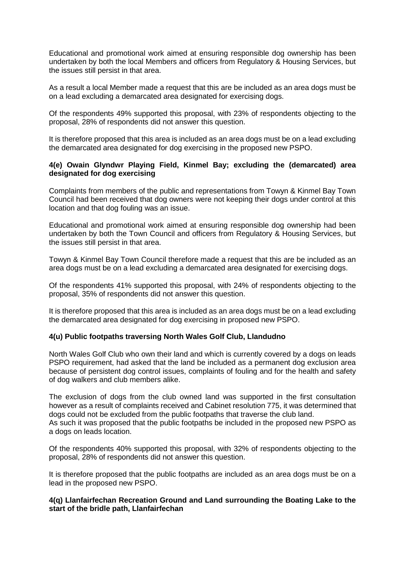Educational and promotional work aimed at ensuring responsible dog ownership has been undertaken by both the local Members and officers from Regulatory & Housing Services, but the issues still persist in that area.

As a result a local Member made a request that this are be included as an area dogs must be on a lead excluding a demarcated area designated for exercising dogs.

Of the respondents 49% supported this proposal, with 23% of respondents objecting to the proposal, 28% of respondents did not answer this question.

It is therefore proposed that this area is included as an area dogs must be on a lead excluding the demarcated area designated for dog exercising in the proposed new PSPO.

## **4(e) Owain Glyndwr Playing Field, Kinmel Bay; excluding the (demarcated) area designated for dog exercising**

Complaints from members of the public and representations from Towyn & Kinmel Bay Town Council had been received that dog owners were not keeping their dogs under control at this location and that dog fouling was an issue.

Educational and promotional work aimed at ensuring responsible dog ownership had been undertaken by both the Town Council and officers from Regulatory & Housing Services, but the issues still persist in that area.

Towyn & Kinmel Bay Town Council therefore made a request that this are be included as an area dogs must be on a lead excluding a demarcated area designated for exercising dogs.

Of the respondents 41% supported this proposal, with 24% of respondents objecting to the proposal, 35% of respondents did not answer this question.

It is therefore proposed that this area is included as an area dogs must be on a lead excluding the demarcated area designated for dog exercising in proposed new PSPO.

## **4(u) Public footpaths traversing North Wales Golf Club, Llandudno**

North Wales Golf Club who own their land and which is currently covered by a dogs on leads PSPO requirement, had asked that the land be included as a permanent dog exclusion area because of persistent dog control issues, complaints of fouling and for the health and safety of dog walkers and club members alike.

The exclusion of dogs from the club owned land was supported in the first consultation however as a result of complaints received and Cabinet resolution 775, it was determined that dogs could not be excluded from the public footpaths that traverse the club land. As such it was proposed that the public footpaths be included in the proposed new PSPO as a dogs on leads location.

Of the respondents 40% supported this proposal, with 32% of respondents objecting to the proposal, 28% of respondents did not answer this question.

It is therefore proposed that the public footpaths are included as an area dogs must be on a lead in the proposed new PSPO.

#### **4(q) Llanfairfechan Recreation Ground and Land surrounding the Boating Lake to the start of the bridle path, Llanfairfechan**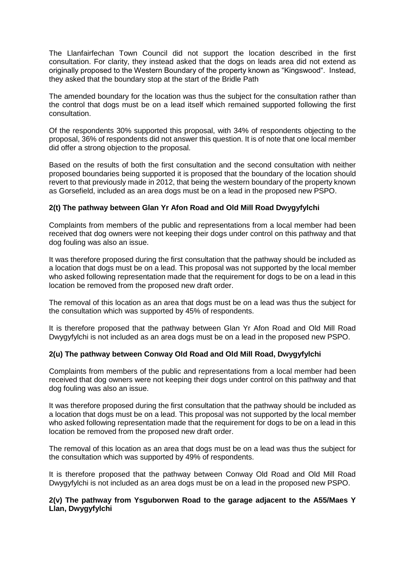The Llanfairfechan Town Council did not support the location described in the first consultation. For clarity, they instead asked that the dogs on leads area did not extend as originally proposed to the Western Boundary of the property known as "Kingswood". Instead, they asked that the boundary stop at the start of the Bridle Path

The amended boundary for the location was thus the subject for the consultation rather than the control that dogs must be on a lead itself which remained supported following the first consultation.

Of the respondents 30% supported this proposal, with 34% of respondents objecting to the proposal, 36% of respondents did not answer this question. It is of note that one local member did offer a strong objection to the proposal.

Based on the results of both the first consultation and the second consultation with neither proposed boundaries being supported it is proposed that the boundary of the location should revert to that previously made in 2012, that being the western boundary of the property known as Gorsefield, included as an area dogs must be on a lead in the proposed new PSPO.

## **2(t) The pathway between Glan Yr Afon Road and Old Mill Road Dwygyfylchi**

Complaints from members of the public and representations from a local member had been received that dog owners were not keeping their dogs under control on this pathway and that dog fouling was also an issue.

It was therefore proposed during the first consultation that the pathway should be included as a location that dogs must be on a lead. This proposal was not supported by the local member who asked following representation made that the requirement for dogs to be on a lead in this location be removed from the proposed new draft order.

The removal of this location as an area that dogs must be on a lead was thus the subject for the consultation which was supported by 45% of respondents.

It is therefore proposed that the pathway between Glan Yr Afon Road and Old Mill Road Dwygyfylchi is not included as an area dogs must be on a lead in the proposed new PSPO.

## **2(u) The pathway between Conway Old Road and Old Mill Road, Dwygyfylchi**

Complaints from members of the public and representations from a local member had been received that dog owners were not keeping their dogs under control on this pathway and that dog fouling was also an issue.

It was therefore proposed during the first consultation that the pathway should be included as a location that dogs must be on a lead. This proposal was not supported by the local member who asked following representation made that the requirement for dogs to be on a lead in this location be removed from the proposed new draft order.

The removal of this location as an area that dogs must be on a lead was thus the subject for the consultation which was supported by 49% of respondents.

It is therefore proposed that the pathway between Conway Old Road and Old Mill Road Dwygyfylchi is not included as an area dogs must be on a lead in the proposed new PSPO.

## **2(v) The pathway from Ysguborwen Road to the garage adjacent to the A55/Maes Y Llan, Dwygyfylchi**